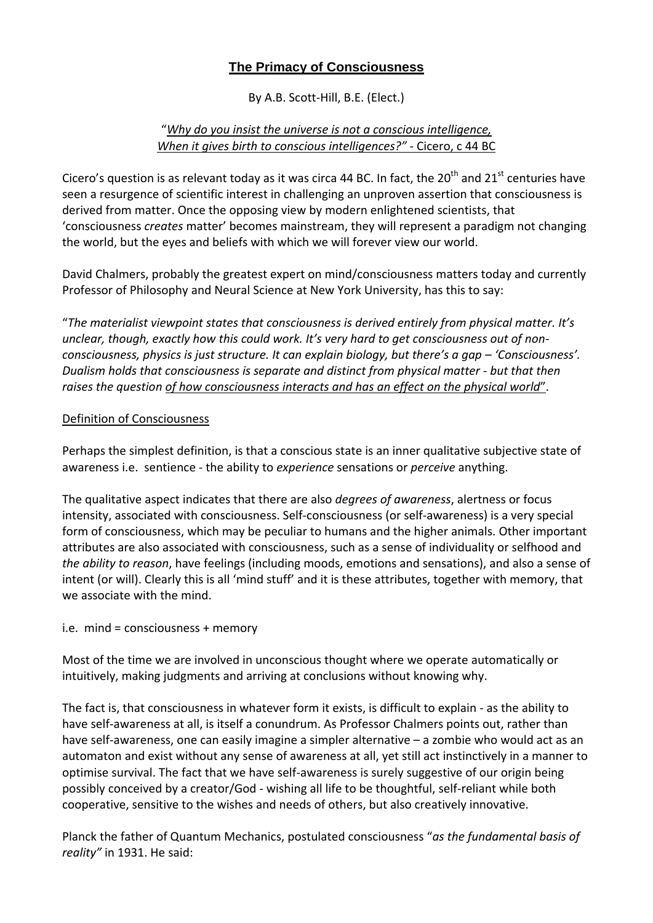# **The Primacy of Consciousness**

By A.B. Scott-Hill, B.E. (Elect.)

### "*Why do you insist the universe is not a conscious intelligence, When it gives birth to conscious intelligences?" -* Cicero, c 44 BC

Cicero's question is as relevant today as it was circa 44 BC. In fact, the 20<sup>th</sup> and 21<sup>st</sup> centuries have seen a resurgence of scientific interest in challenging an unproven assertion that consciousness is derived from matter. Once the opposing view by modern enlightened scientists, that 'consciousness *creates* matter' becomes mainstream, they will represent a paradigm not changing the world, but the eyes and beliefs with which we will forever view our world.

David Chalmers, probably the greatest expert on mind/consciousness matters today and currently Professor of Philosophy and Neural Science at New York University, has this to say:

"*The materialist viewpoint states that consciousness is derived entirely from physical matter. It's unclear, though, exactly how this could work. It's very hard to get consciousness out of nonconsciousness, physics is just structure. It can explain biology, but there's a gap – 'Consciousness'. Dualism holds that consciousness is separate and distinct from physical matter - but that then raises the question of how consciousness interacts and has an effect on the physical world*".

#### Definition of Consciousness

Perhaps the simplest definition, is that a conscious state is an inner qualitative subjective state of awareness i.e. sentience - the ability to *experience* sensations or *perceive* anything.

The qualitative aspect indicates that there are also *degrees of awareness*, alertness or focus intensity, associated with consciousness. Self-consciousness (or self-awareness) is a very special form of consciousness, which may be peculiar to humans and the higher animals. Other important attributes are also associated with consciousness, such as a sense of individuality or selfhood and *the ability to reason*, have feelings (including moods, emotions and sensations), and also a sense of intent (or will). Clearly this is all 'mind stuff' and it is these attributes, together with memory, that we associate with the mind.

#### i.e. mind = consciousness + memory

Most of the time we are involved in unconscious thought where we operate automatically or intuitively, making judgments and arriving at conclusions without knowing why.

The fact is, that consciousness in whatever form it exists, is difficult to explain - as the ability to have self-awareness at all, is itself a conundrum. As Professor Chalmers points out, rather than have self-awareness, one can easily imagine a simpler alternative – a zombie who would act as an automaton and exist without any sense of awareness at all, yet still act instinctively in a manner to optimise survival. The fact that we have self-awareness is surely suggestive of our origin being possibly conceived by a creator/God - wishing all life to be thoughtful, self-reliant while both cooperative, sensitive to the wishes and needs of others, but also creatively innovative.

Planck the father of Quantum Mechanics, postulated consciousness "*as the fundamental basis of reality"* in 1931. He said: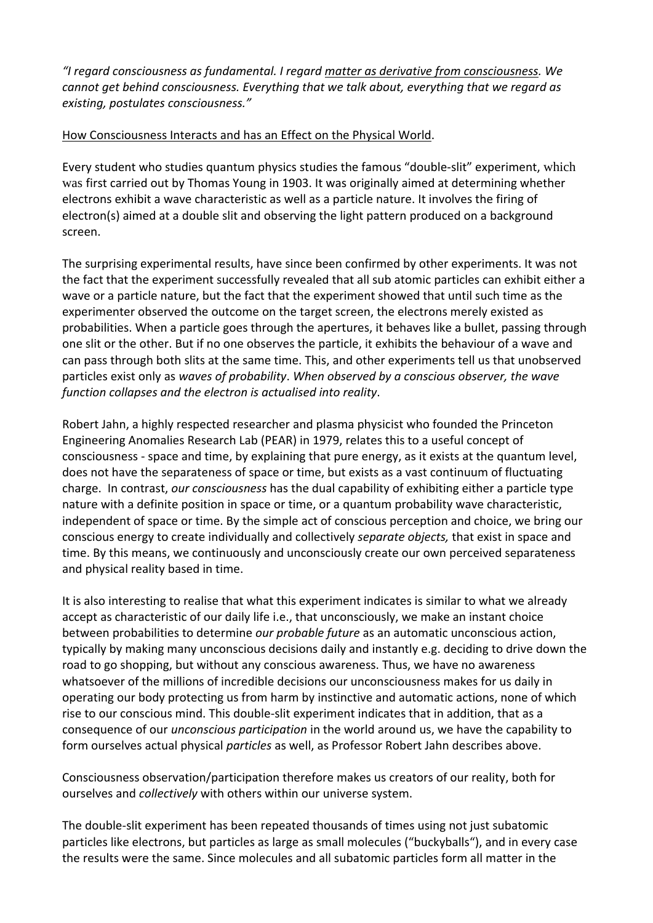*"I regard consciousness as fundamental. I regard matter as derivative from consciousness. We cannot get behind consciousness. Everything that we talk about, everything that we regard as existing, postulates consciousness."*

## How Consciousness Interacts and has an Effect on the Physical World.

Every student who studies quantum physics studies the famous "double-slit" experiment, which was first carried out by Thomas Young in 1903. It was originally aimed at determining whether electrons exhibit a wave characteristic as well as a particle nature. It involves the firing of electron(s) aimed at a double slit and observing the light pattern produced on a background screen.

The surprising experimental results, have since been confirmed by other experiments. It was not the fact that the experiment successfully revealed that all sub atomic particles can exhibit either a wave or a particle nature, but the fact that the experiment showed that until such time as the experimenter observed the outcome on the target screen, the electrons merely existed as probabilities. When a particle goes through the apertures, it behaves like a bullet, passing through one slit or the other. But if no one observes the particle, it exhibits the behaviour of a wave and can pass through both slits at the same time. This, and other experiments tell us that unobserved particles exist only as *waves of probability*. *When observed by a conscious observer, the wave function collapses and the electron is actualised into reality*.

Robert Jahn, a highly respected researcher and plasma physicist who founded the Princeton Engineering Anomalies Research Lab (PEAR) in 1979, relates this to a useful concept of consciousness - space and time, by explaining that pure energy, as it exists at the quantum level, does not have the separateness of space or time, but exists as a vast continuum of fluctuating charge. In contrast, *our consciousness* has the dual capability of exhibiting either a particle type nature with a definite position in space or time, or a quantum probability wave characteristic, independent of space or time. By the simple act of conscious perception and choice, we bring our conscious energy to create individually and collectively *separate objects,* that exist in space and time. By this means, we continuously and unconsciously create our own perceived separateness and physical reality based in time.

It is also interesting to realise that what this experiment indicates is similar to what we already accept as characteristic of our daily life i.e., that unconsciously, we make an instant choice between probabilities to determine *our probable future* as an automatic unconscious action, typically by making many unconscious decisions daily and instantly e.g. deciding to drive down the road to go shopping, but without any conscious awareness. Thus, we have no awareness whatsoever of the millions of incredible decisions our unconsciousness makes for us daily in operating our body protecting us from harm by instinctive and automatic actions, none of which rise to our conscious mind. This double-slit experiment indicates that in addition, that as a consequence of our *unconscious participation* in the world around us, we have the capability to form ourselves actual physical *particles* as well, as Professor Robert Jahn describes above.

Consciousness observation/participation therefore makes us creators of our reality, both for ourselves and *collectively* with others within our universe system.

The double-slit experiment has been repeated thousands of times using not just subatomic particles like electrons, but particles as large as small molecules ("buckyballs"), and in every case the results were the same. Since molecules and all subatomic particles form all matter in the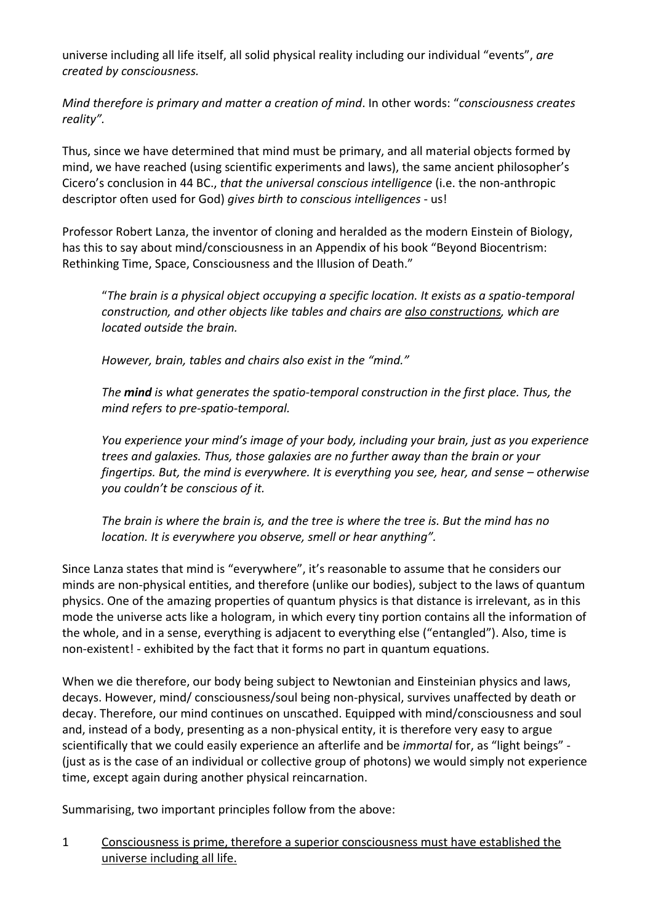universe including all life itself, all solid physical reality including our individual "events", *are created by consciousness.*

*Mind therefore is primary and matter a creation of mind*. In other words: "*consciousness creates reality".* 

Thus, since we have determined that mind must be primary, and all material objects formed by mind, we have reached (using scientific experiments and laws), the same ancient philosopher's Cicero's conclusion in 44 BC., *that the universal conscious intelligence* (i.e. the non-anthropic descriptor often used for God) *gives birth to conscious intelligences* - us!

Professor Robert Lanza, the inventor of cloning and heralded as the modern Einstein of Biology, has this to say about mind/consciousness in an Appendix of his book "Beyond Biocentrism: Rethinking Time, Space, Consciousness and the Illusion of Death."

"*The brain is a physical object occupying a specific location. It exists as a spatio-temporal construction, and other objects like tables and chairs are also constructions, which are located outside the brain.*

*However, brain, tables and chairs also exist in the "mind."* 

*The mind is what generates the spatio-temporal construction in the first place. Thus, the mind refers to pre-spatio-temporal.*

*You experience your mind's image of your body, including your brain, just as you experience trees and galaxies. Thus, those galaxies are no further away than the brain or your fingertips. But, the mind is everywhere. It is everything you see, hear, and sense – otherwise you couldn't be conscious of it.*

*The brain is where the brain is, and the tree is where the tree is. But the mind has no location. It is everywhere you observe, smell or hear anything".*

Since Lanza states that mind is "everywhere", it's reasonable to assume that he considers our minds are non-physical entities, and therefore (unlike our bodies), subject to the laws of quantum physics. One of the amazing properties of quantum physics is that distance is irrelevant, as in this mode the universe acts like a hologram, in which every tiny portion contains all the information of the whole, and in a sense, everything is adjacent to everything else ("entangled"). Also, time is non-existent! - exhibited by the fact that it forms no part in quantum equations.

When we die therefore, our body being subject to Newtonian and Einsteinian physics and laws, decays. However, mind/ consciousness/soul being non-physical, survives unaffected by death or decay. Therefore, our mind continues on unscathed. Equipped with mind/consciousness and soul and, instead of a body, presenting as a non-physical entity, it is therefore very easy to argue scientifically that we could easily experience an afterlife and be *immortal* for, as "light beings" - (just as is the case of an individual or collective group of photons) we would simply not experience time, except again during another physical reincarnation.

Summarising, two important principles follow from the above:

1 Consciousness is prime, therefore a superior consciousness must have established the universe including all life.